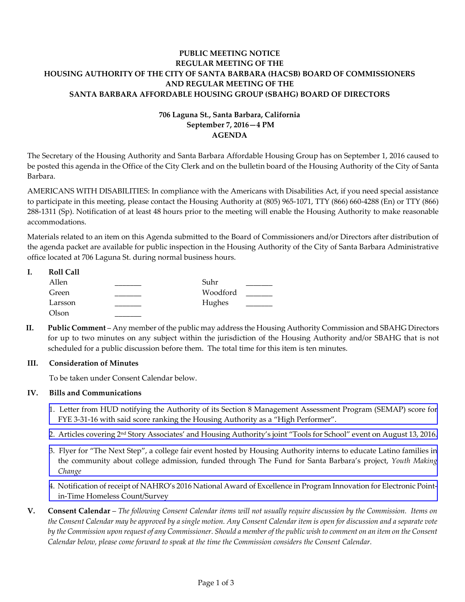# **PUBLIC MEETING NOTICE REGULAR MEETING OF THE HOUSING AUTHORITY OF THE CITY OF SANTA BARBARA (HACSB) BOARD OF COMMISSIONERS AND REGULAR MEETING OF THE SANTA BARBARA AFFORDABLE HOUSING GROUP (SBAHG) BOARD OF DIRECTORS**

# **706 Laguna St., Santa Barbara, California September 7, 2016—4 PM AGENDA**

The Secretary of the Housing Authority and Santa Barbara Affordable Housing Group has on September 1, 2016 caused to be posted this agenda in the Office of the City Clerk and on the bulletin board of the Housing Authority of the City of Santa Barbara.

AMERICANS WITH DISABILITIES: In compliance with the Americans with Disabilities Act, if you need special assistance to participate in this meeting, please contact the Housing Authority at (805) 965-1071, TTY (866) 660-4288 (En) or TTY (866) 288-1311 (Sp). Notification of at least 48 hours prior to the meeting will enable the Housing Authority to make reasonable accommodations.

Materials related to an item on this Agenda submitted to the Board of Commissioners and/or Directors after distribution of the agenda packet are available for public inspection in the Housing Authority of the City of Santa Barbara Administrative office located at 706 Laguna St. during normal business hours.

| <b>Roll Call</b> |          |  |
|------------------|----------|--|
| Allen            | Suhr     |  |
| Green            | Woodford |  |
| Larsson          | Hughes   |  |
| Olson            |          |  |

**II. Public Comment** – Any member of the public may address the Housing Authority Commission and SBAHG Directors for up to two minutes on any subject within the jurisdiction of the Housing Authority and/or SBAHG that is not scheduled for a public discussion before them. The total time for this item is ten minutes.

# **III. Consideration of Minutes**

To be taken under Consent Calendar below.

# **IV. Bills and Communications**

- [1. Letter from HUD notifying the Authority of its Section 8 Management Assessment Program \(SEMAP\) score for](http://hacsb.org/download/meetings_2016_2/items/09_september/item_IV_I_2016_09_07.pdf) FYE 3-31-16 with said score ranking the Housing Authority as a "High Performer".
- [2. Articles covering 2nd Story Associates' and Housing Authority's joint "Tools for School" event on August 13, 2016.](http://hacsb.org/download/meetings_2016_2/items/09_september/item_IV_II_2016_09_07.pdf)
- [3. Flyer for "The Next Step", a college fair event hosted by Housing Authority interns to educate Latino families in](http://hacsb.org/download/meetings_2016_2/items/09_september/item_IV_III_2016_09_07.pdf) the community about college admission, funded through The Fund for Santa Barbara's project, *Youth Making Change*
- [4. Notification of receipt of NAHRO's 2016 National Award of Excellence in Program Innovation for Electronic Point](http://hacsb.org/download/meetings_2016_2/items/09_september/item_IV_IV_2016_09_07.pdf)in-Time Homeless Count/Survey
- **V. Consent Calendar** *The following Consent Calendar items will not usually require discussion by the Commission. Items on the Consent Calendar may be approved by a single motion. Any Consent Calendar item is open for discussion and a separate vote by the Commission upon request of any Commissioner. Should a member of the public wish to comment on an item on the Consent Calendar below, please come forward to speak at the time the Commission considers the Consent Calendar.*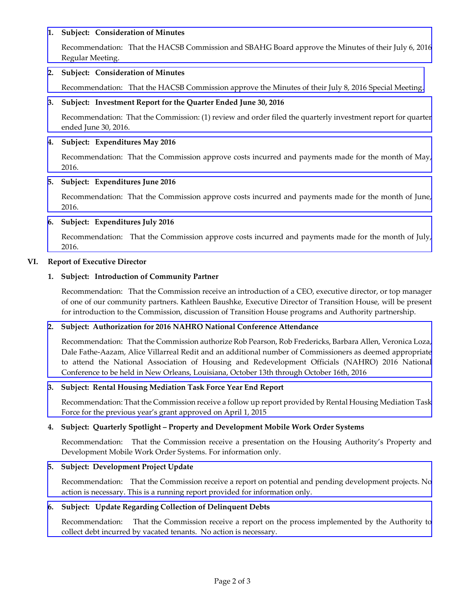# **1. Subject: Consideration of Minutes**

[Recommendation: That the HACSB Commission and SBAHG Board approve the Minutes of their July 6, 2016](http://hacsb.org/download/meetings_2016_2/items/09_september/item_V_I_2016_09_07.pdf)  Regular Meeting.

# **2. Subject: Consideration of Minutes**

Recommendation:[That the HACSB Commission approve the Minutes of their July 8, 2016 Special Meeting.](http://hacsb.org/download/meetings_2016_2/items/09_september/item_V_II_2016_09_07.pdf) 

# **3. Subject: Investment Report for the Quarter Ended June 30, 2016**

[Recommendation: That the Commission: \(1\) review and order filed the quarterly investment report for quarter](http://hacsb.org/download/meetings_2016_2/items/09_september/item_V_III_2016_09_07.pdf)  ended June 30, 2016.

# **4. Subject: Expenditures May 2016**

 [Recommendation: That the Commission approve costs incurred and payments made for the month of May,](http://hacsb.org/download/meetings_2016_2/items/09_september/item_V_IV_2016_09_07.pdf)  2016.

# **5. Subject: Expenditures June 2016**

[Recommendation: That the Commission approve costs incurred and payments made for the month of June,](http://hacsb.org/download/meetings_2016_2/items/09_september/item_V_V_2016_09_07.pdf)  2016.

# **6. Subject: Expenditures July 2016**

 [Recommendation: That the Commission approve costs incurred and payments made for the month of July,](http://hacsb.org/download/meetings_2016_2/items/09_september/item_V_VI_2016_09_07.pdf)  2016.

# **VI. Report of Executive Director**

# **1. Subject: Introduction of Community Partner**

Recommendation: That the Commission receive an introduction of a CEO, executive director, or top manager of one of our community partners. Kathleen Baushke, Executive Director of Transition House, will be present for introduction to the Commission, discussion of Transition House programs and Authority partnership.

### **2. Subject: Authorization for 2016 NAHRO National Conference Attendance**

 [Recommendation: That the Commission authorize Rob Pearson, Rob Fredericks, Barbara Allen, Veronica Loza,](http://hacsb.org/download/meetings_2016_2/items/09_september/item_VI_II_2016_09_07.pdf)  Dale Fathe-Aazam, Alice Villarreal Redit and an additional number of Commissioners as deemed appropriate to attend the National Association of Housing and Redevelopment Officials (NAHRO) 2016 National Conference to be held in New Orleans, Louisiana, October 13th through October 16th, 2016

### **3. Subject: Rental Housing Mediation Task Force Year End Report**

 [Recommendation: That the Commission receive a follow up report provided by Rental Housing Mediation Task](http://hacsb.org/download/meetings_2016_2/items/09_september/item_VI_III_2016_09_07.pdf)  Force for the previous year's grant approved on April 1, 2015

# **4. Subject: Quarterly Spotlight – Property and Development Mobile Work Order Systems**

 Recommendation: That the Commission receive a presentation on the Housing Authority's Property and Development Mobile Work Order Systems. For information only.

### **5. Subject: Development Project Update**

[Recommendation: That the Commission receive a report on potential and pending development projects. No](http://hacsb.org/download/meetings_2016_2/items/09_september/item_VI_V_2016_09_07.pdf)  action is necessary. This is a running report provided for information only.

### **6. Subject: Update Regarding Collection of Delinquent Debts**

 [Recommendation: That the Commission receive a report on the process implemented by the Authority to](http://hacsb.org/download/meetings_2016_2/items/09_september/item_VI_VI_2016_09_07.pdf)  collect debt incurred by vacated tenants. No action is necessary.